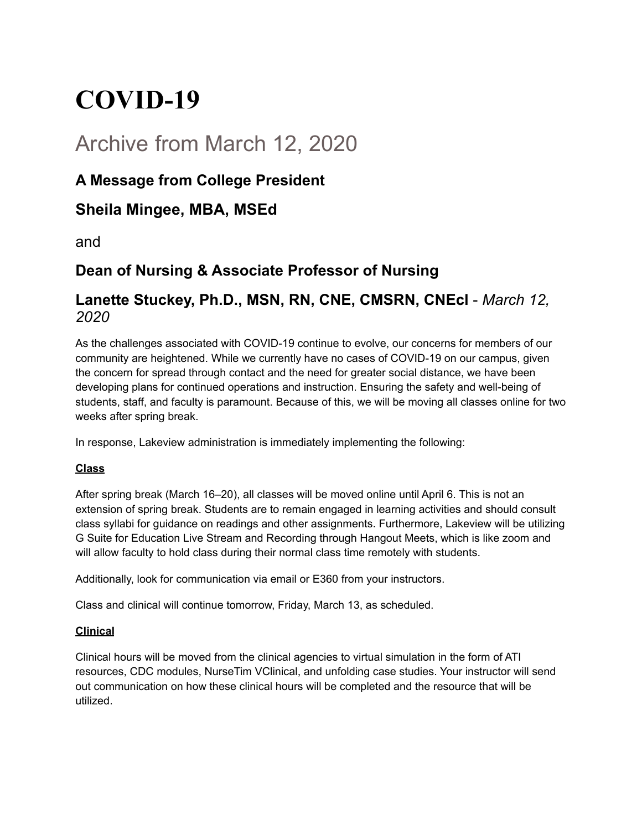# **COVID-19**

## Archive from March 12, 2020

## **A Message from College President**

## **Sheila Mingee, MBA, MSEd**

and

## **Dean of Nursing & Associate Professor of Nursing**

### **Lanette Stuckey, Ph.D., MSN, RN, CNE, CMSRN, CNEcl** - *March 12, 2020*

As the challenges associated with COVID-19 continue to evolve, our concerns for members of our community are heightened. While we currently have no cases of COVID-19 on our campus, given the concern for spread through contact and the need for greater social distance, we have been developing plans for continued operations and instruction. Ensuring the safety and well-being of students, staff, and faculty is paramount. Because of this, we will be moving all classes online for two weeks after spring break.

In response, Lakeview administration is immediately implementing the following:

#### **Class**

After spring break (March 16–20), all classes will be moved online until April 6. This is not an extension of spring break. Students are to remain engaged in learning activities and should consult class syllabi for guidance on readings and other assignments. Furthermore, Lakeview will be utilizing G Suite for Education Live Stream and Recording through Hangout Meets, which is like zoom and will allow faculty to hold class during their normal class time remotely with students.

Additionally, look for communication via email or E360 from your instructors.

Class and clinical will continue tomorrow, Friday, March 13, as scheduled.

#### **Clinical**

Clinical hours will be moved from the clinical agencies to virtual simulation in the form of ATI resources, CDC modules, NurseTim VClinical, and unfolding case studies. Your instructor will send out communication on how these clinical hours will be completed and the resource that will be utilized.